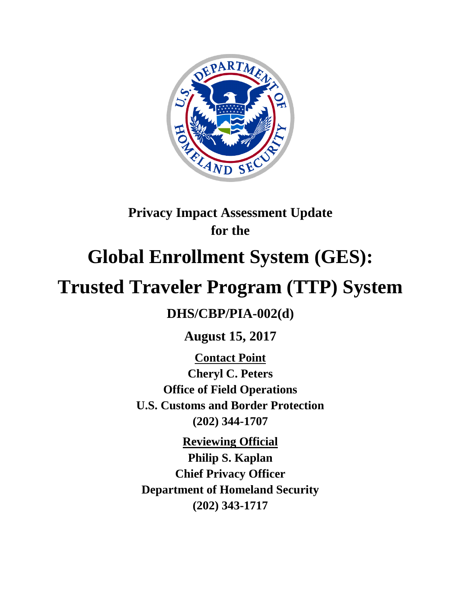

# **Privacy Impact Assessment Update for the**

# **Global Enrollment System (GES):**

# **Trusted Traveler Program (TTP) System**

# **DHS/CBP/PIA-002(d)**

**August 15, 2017**

**Contact Point Cheryl C. Peters Office of Field Operations U.S. Customs and Border Protection (202) 344-1707**

**Reviewing Official Philip S. Kaplan Chief Privacy Officer Department of Homeland Security (202) 343-1717**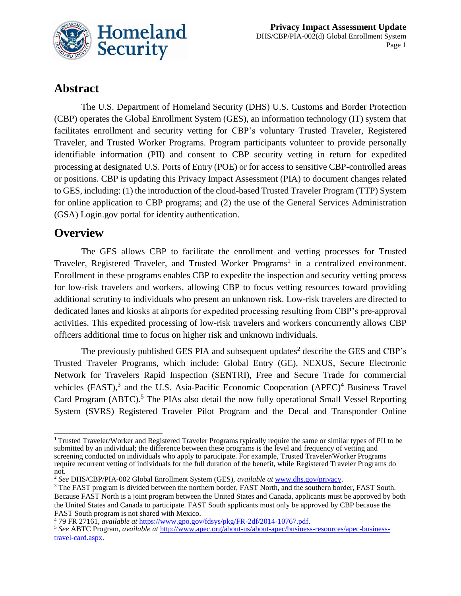

# **Abstract**

The U.S. Department of Homeland Security (DHS) U.S. Customs and Border Protection (CBP) operates the Global Enrollment System (GES), an information technology (IT) system that facilitates enrollment and security vetting for CBP's voluntary Trusted Traveler, Registered Traveler, and Trusted Worker Programs. Program participants volunteer to provide personally identifiable information (PII) and consent to CBP security vetting in return for expedited processing at designated U.S. Ports of Entry (POE) or for access to sensitive CBP-controlled areas or positions. CBP is updating this Privacy Impact Assessment (PIA) to document changes related to GES, including: (1) the introduction of the cloud-based Trusted Traveler Program (TTP) System for online application to CBP programs; and (2) the use of the General Services Administration (GSA) Login.gov portal for identity authentication.

### **Overview**

The GES allows CBP to facilitate the enrollment and vetting processes for Trusted Traveler, Registered Traveler, and Trusted Worker Programs<sup>1</sup> in a centralized environment. Enrollment in these programs enables CBP to expedite the inspection and security vetting process for low-risk travelers and workers, allowing CBP to focus vetting resources toward providing additional scrutiny to individuals who present an unknown risk. Low-risk travelers are directed to dedicated lanes and kiosks at airports for expedited processing resulting from CBP's pre-approval activities. This expedited processing of low-risk travelers and workers concurrently allows CBP officers additional time to focus on higher risk and unknown individuals.

The previously published GES PIA and subsequent updates<sup>2</sup> describe the GES and CBP's Trusted Traveler Programs, which include: Global Entry (GE), NEXUS, Secure Electronic Network for Travelers Rapid Inspection (SENTRI), Free and Secure Trade for commercial vehicles  $(FAST)$ ,<sup>3</sup> and the U.S. Asia-Pacific Economic Cooperation  $(APEC)^4$  Business Travel Card Program (ABTC).<sup>5</sup> The PIAs also detail the now fully operational Small Vessel Reporting System (SVRS) Registered Traveler Pilot Program and the Decal and Transponder Online

 $\overline{a}$ <sup>1</sup> Trusted Traveler/Worker and Registered Traveler Programs typically require the same or similar types of PII to be submitted by an individual; the difference between these programs is the level and frequency of vetting and screening conducted on individuals who apply to participate. For example, Trusted Traveler/Worker Programs require recurrent vetting of individuals for the full duration of the benefit, while Registered Traveler Programs do not.

<sup>2</sup> *See* DHS/CBP/PIA-002 Global Enrollment System (GES), *available at* [www.dhs.gov/privacy.](http://www.dhs.gov/privacy)

<sup>&</sup>lt;sup>3</sup> The FAST program is divided between the northern border, FAST North, and the southern border, FAST South. Because FAST North is a joint program between the United States and Canada, applicants must be approved by both the United States and Canada to participate. FAST South applicants must only be approved by CBP because the FAST South program is not shared with Mexico.

<sup>4</sup> 79 FR 27161, *available at* [https://www.gpo.gov/fdsys/pkg/FR-2df/2014-10767.pdf.](https://www.gpo.gov/fdsys/pkg/FR-2014-05-13/pdf/2014-10767.pdf)

<sup>5</sup> *See* ABTC Program, *available at* [http://www.apec.org/about-us/about-apec/business-resources/apec-business](http://www.apec.org/about-us/about-apec/business-resources/apec-business-travel-card.aspx)[travel-card.aspx.](http://www.apec.org/about-us/about-apec/business-resources/apec-business-travel-card.aspx)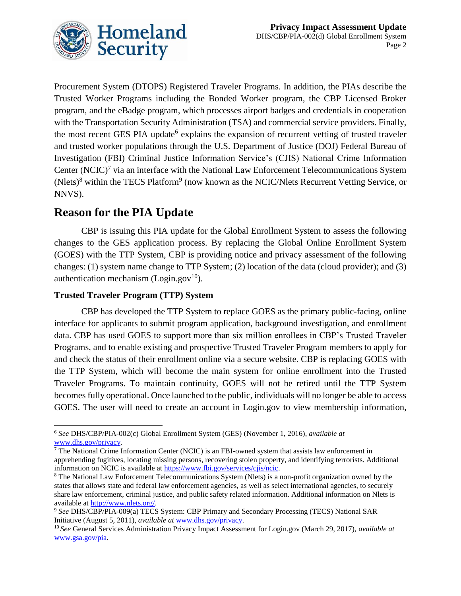

Procurement System (DTOPS) Registered Traveler Programs. In addition, the PIAs describe the Trusted Worker Programs including the Bonded Worker program, the CBP Licensed Broker program, and the eBadge program, which processes airport badges and credentials in cooperation with the Transportation Security Administration (TSA) and commercial service providers. Finally, the most recent GES PIA update<sup>6</sup> explains the expansion of recurrent vetting of trusted traveler and trusted worker populations through the U.S. Department of Justice (DOJ) Federal Bureau of Investigation (FBI) Criminal Justice Information Service's (CJIS) National Crime Information Center  $(NCIC)^7$  via an interface with the National Law Enforcement Telecommunications System (Nlets)<sup>8</sup> within the TECS Platform<sup>9</sup> (now known as the NCIC/Nlets Recurrent Vetting Service, or NNVS).

## **Reason for the PIA Update**

CBP is issuing this PIA update for the Global Enrollment System to assess the following changes to the GES application process. By replacing the Global Online Enrollment System (GOES) with the TTP System, CBP is providing notice and privacy assessment of the following changes: (1) system name change to TTP System; (2) location of the data (cloud provider); and (3) authentication mechanism (Login.gov<sup>10</sup>).

#### **Trusted Traveler Program (TTP) System**

CBP has developed the TTP System to replace GOES as the primary public-facing, online interface for applicants to submit program application, background investigation, and enrollment data. CBP has used GOES to support more than six million enrollees in CBP's Trusted Traveler Programs, and to enable existing and prospective Trusted Traveler Program members to apply for and check the status of their enrollment online via a secure website. CBP is replacing GOES with the TTP System, which will become the main system for online enrollment into the Trusted Traveler Programs. To maintain continuity, GOES will not be retired until the TTP System becomes fully operational. Once launched to the public, individuals will no longer be able to access GOES. The user will need to create an account in Login.gov to view membership information,

 $\overline{a}$ <sup>6</sup> *See* DHS/CBP/PIA-002(c) Global Enrollment System (GES) (November 1, 2016), *available at*  [www.dhs.gov/privacy.](http://www.dhs.gov/privacy)

 $7$  The National Crime Information Center (NCIC) is an FBI-owned system that assists law enforcement in apprehending fugitives, locating missing persons, recovering stolen property, and identifying terrorists. Additional information on NCIC is available at [https://www.fbi.gov/services/cjis/ncic.](https://www.fbi.gov/services/cjis/ncic)

<sup>8</sup> The National Law Enforcement Telecommunications System (Nlets) is a non-profit organization owned by the states that allows state and federal law enforcement agencies, as well as select international agencies, to securely share law enforcement, criminal justice, and public safety related information. Additional information on Nlets is available at [http://www.nlets.org/.](http://www.nlets.org/)

<sup>9</sup> *See* DHS/CBP/PIA-009(a) TECS System: CBP Primary and Secondary Processing (TECS) National SAR Initiative (August 5, 2011), *available at* [www.dhs.gov/privacy.](http://www.dhs.gov/privacy)

<sup>10</sup> *See* General Services Administration Privacy Impact Assessment for Login.gov (March 29, 2017), *available at*  [www.gsa.gov/pia.](http://www.gsa.gov/pia)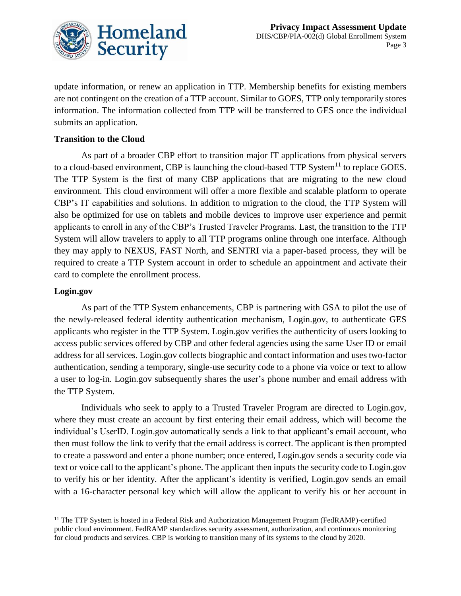

update information, or renew an application in TTP. Membership benefits for existing members are not contingent on the creation of a TTP account. Similar to GOES, TTP only temporarily stores information. The information collected from TTP will be transferred to GES once the individual submits an application.

#### **Transition to the Cloud**

As part of a broader CBP effort to transition major IT applications from physical servers to a cloud-based environment, CBP is launching the cloud-based TTP System<sup>11</sup> to replace GOES. The TTP System is the first of many CBP applications that are migrating to the new cloud environment. This cloud environment will offer a more flexible and scalable platform to operate CBP's IT capabilities and solutions. In addition to migration to the cloud, the TTP System will also be optimized for use on tablets and mobile devices to improve user experience and permit applicants to enroll in any of the CBP's Trusted Traveler Programs. Last, the transition to the TTP System will allow travelers to apply to all TTP programs online through one interface. Although they may apply to NEXUS, FAST North, and SENTRI via a paper-based process, they will be required to create a TTP System account in order to schedule an appointment and activate their card to complete the enrollment process.

#### **Login.gov**

As part of the TTP System enhancements, CBP is partnering with GSA to pilot the use of the newly-released federal identity authentication mechanism, Login.gov, to authenticate GES applicants who register in the TTP System. Login.gov verifies the authenticity of users looking to access public services offered by CBP and other federal agencies using the same User ID or email address for all services. Login.gov collects biographic and contact information and uses two-factor authentication, sending a temporary, single-use security code to a phone via voice or text to allow a user to log-in. Login.gov subsequently shares the user's phone number and email address with the TTP System.

Individuals who seek to apply to a Trusted Traveler Program are directed to Login.gov, where they must create an account by first entering their email address, which will become the individual's UserID. Login.gov automatically sends a link to that applicant's email account, who then must follow the link to verify that the email address is correct. The applicant is then prompted to create a password and enter a phone number; once entered, Login.gov sends a security code via text or voice call to the applicant's phone. The applicant then inputs the security code to Login.gov to verify his or her identity. After the applicant's identity is verified, Login.gov sends an email with a 16-character personal key which will allow the applicant to verify his or her account in

 $\overline{a}$ <sup>11</sup> The TTP System is hosted in a Federal Risk and Authorization Management Program (FedRAMP)-certified public cloud environment. FedRAMP standardizes security assessment, authorization, and continuous monitoring for cloud products and services. CBP is working to transition many of its systems to the cloud by 2020.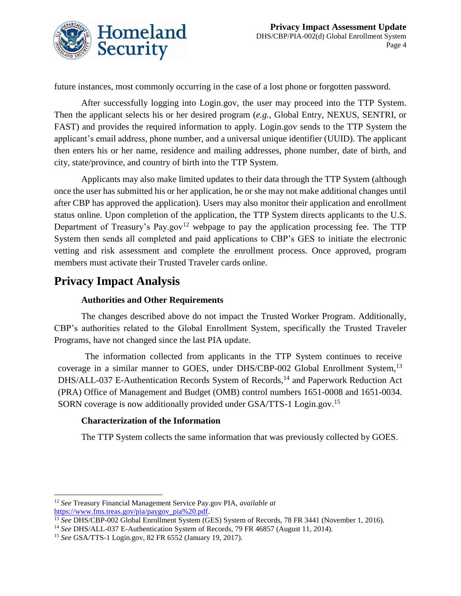

future instances, most commonly occurring in the case of a lost phone or forgotten password.

After successfully logging into Login.gov, the user may proceed into the TTP System. Then the applicant selects his or her desired program (*e.g.*, Global Entry, NEXUS, SENTRI, or FAST) and provides the required information to apply. Login.gov sends to the TTP System the applicant's email address, phone number, and a universal unique identifier (UUID). The applicant then enters his or her name, residence and mailing addresses, phone number, date of birth, and city, state/province, and country of birth into the TTP System.

Applicants may also make limited updates to their data through the TTP System (although once the user has submitted his or her application, he or she may not make additional changes until after CBP has approved the application). Users may also monitor their application and enrollment status online. Upon completion of the application, the TTP System directs applicants to the U.S. Department of Treasury's Pay.gov<sup>12</sup> webpage to pay the application processing fee. The TTP System then sends all completed and paid applications to CBP's GES to initiate the electronic vetting and risk assessment and complete the enrollment process. Once approved, program members must activate their Trusted Traveler cards online.

## **Privacy Impact Analysis**

#### **Authorities and Other Requirements**

The changes described above do not impact the Trusted Worker Program. Additionally, CBP's authorities related to the Global Enrollment System, specifically the Trusted Traveler Programs, have not changed since the last PIA update.

The information collected from applicants in the TTP System continues to receive coverage in a similar manner to GOES, under DHS/CBP-002 Global Enrollment System,<sup>13</sup> DHS/ALL-037 E-Authentication Records System of Records,<sup>14</sup> and Paperwork Reduction Act (PRA) Office of Management and Budget (OMB) control numbers 1651-0008 and 1651-0034. SORN coverage is now additionally provided under GSA/TTS-1 Login.gov.<sup>15</sup>

#### **Characterization of the Information**

The TTP System collects the same information that was previously collected by GOES.

 $\overline{a}$ <sup>12</sup> *See* Treasury Financial Management Service Pay.gov PIA, *available at*  [https://www.fms.treas.gov/pia/paygov\\_pia%20.pdf.](https://www.fms.treas.gov/pia/paygov_pia%20.pdf)

<sup>13</sup> *See* DHS/CBP-002 Global Enrollment System (GES) System of Records, 78 FR 3441 (November 1, 2016).

<sup>14</sup> *See* DHS/ALL-037 E-Authentication System of Records, 79 FR 46857 (August 11, 2014).

<sup>15</sup> *See* GSA/TTS-1 Login.gov, 82 FR 6552 (January 19, 2017).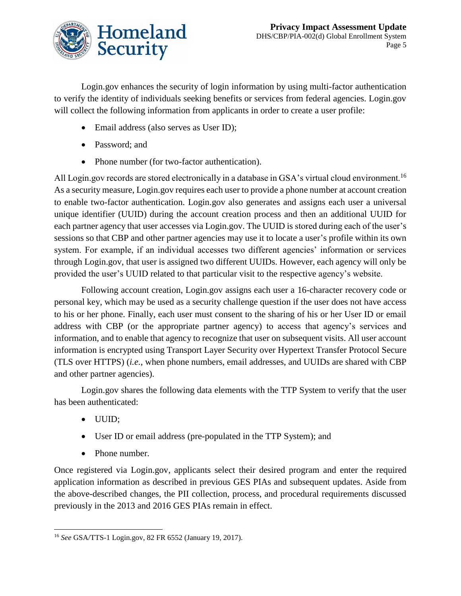

Login.gov enhances the security of login information by using multi-factor authentication to verify the identity of individuals seeking benefits or services from federal agencies. Login.gov will collect the following information from applicants in order to create a user profile:

- Email address (also serves as User ID);
- Password; and
- Phone number (for two-factor authentication).

All Login.gov records are stored electronically in a database in GSA's virtual cloud environment.<sup>16</sup> As a security measure, Login.gov requires each user to provide a phone number at account creation to enable two-factor authentication. Login.gov also generates and assigns each user a universal unique identifier (UUID) during the account creation process and then an additional UUID for each partner agency that user accesses via Login.gov. The UUID is stored during each of the user's sessions so that CBP and other partner agencies may use it to locate a user's profile within its own system. For example, if an individual accesses two different agencies' information or services through Login.gov, that user is assigned two different UUIDs. However, each agency will only be provided the user's UUID related to that particular visit to the respective agency's website.

Following account creation, Login.gov assigns each user a 16-character recovery code or personal key, which may be used as a security challenge question if the user does not have access to his or her phone. Finally, each user must consent to the sharing of his or her User ID or email address with CBP (or the appropriate partner agency) to access that agency's services and information, and to enable that agency to recognize that user on subsequent visits. All user account information is encrypted using Transport Layer Security over Hypertext Transfer Protocol Secure (TLS over HTTPS) (*i.e.*, when phone numbers, email addresses, and UUIDs are shared with CBP and other partner agencies).

Login.gov shares the following data elements with the TTP System to verify that the user has been authenticated:

- UUID;
- User ID or email address (pre-populated in the TTP System); and
- Phone number.

Once registered via Login.gov, applicants select their desired program and enter the required application information as described in previous GES PIAs and subsequent updates. Aside from the above-described changes, the PII collection, process, and procedural requirements discussed previously in the 2013 and 2016 GES PIAs remain in effect.

 $\overline{a}$ <sup>16</sup> *See* GSA/TTS-1 Login.gov, 82 FR 6552 (January 19, 2017).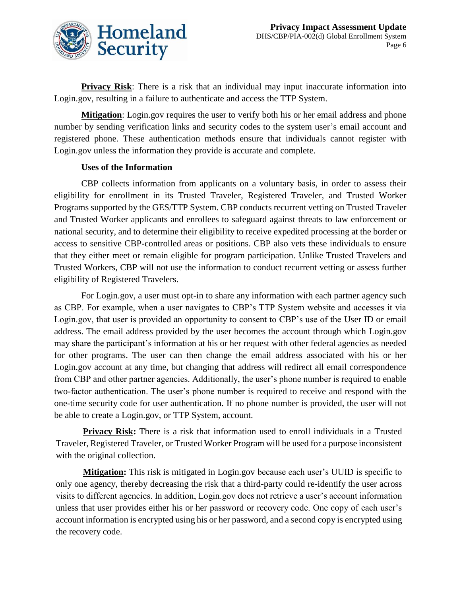

**Privacy Risk**: There is a risk that an individual may input inaccurate information into Login.gov, resulting in a failure to authenticate and access the TTP System.

**Mitigation**: Login.gov requires the user to verify both his or her email address and phone number by sending verification links and security codes to the system user's email account and registered phone. These authentication methods ensure that individuals cannot register with Login.gov unless the information they provide is accurate and complete.

#### **Uses of the Information**

CBP collects information from applicants on a voluntary basis, in order to assess their eligibility for enrollment in its Trusted Traveler, Registered Traveler, and Trusted Worker Programs supported by the GES/TTP System. CBP conducts recurrent vetting on Trusted Traveler and Trusted Worker applicants and enrollees to safeguard against threats to law enforcement or national security, and to determine their eligibility to receive expedited processing at the border or access to sensitive CBP-controlled areas or positions. CBP also vets these individuals to ensure that they either meet or remain eligible for program participation. Unlike Trusted Travelers and Trusted Workers, CBP will not use the information to conduct recurrent vetting or assess further eligibility of Registered Travelers.

For Login.gov, a user must opt-in to share any information with each partner agency such as CBP. For example, when a user navigates to CBP's TTP System website and accesses it via Login.gov, that user is provided an opportunity to consent to CBP's use of the User ID or email address. The email address provided by the user becomes the account through which Login.gov may share the participant's information at his or her request with other federal agencies as needed for other programs. The user can then change the email address associated with his or her Login.gov account at any time, but changing that address will redirect all email correspondence from CBP and other partner agencies. Additionally, the user's phone number is required to enable two-factor authentication. The user's phone number is required to receive and respond with the one-time security code for user authentication. If no phone number is provided, the user will not be able to create a Login.gov, or TTP System, account.

**Privacy Risk:** There is a risk that information used to enroll individuals in a Trusted Traveler, Registered Traveler, or Trusted Worker Program will be used for a purpose inconsistent with the original collection.

**Mitigation:** This risk is mitigated in Login.gov because each user's UUID is specific to only one agency, thereby decreasing the risk that a third-party could re-identify the user across visits to different agencies. In addition, Login.gov does not retrieve a user's account information unless that user provides either his or her password or recovery code. One copy of each user's account information is encrypted using his or her password, and a second copy is encrypted using the recovery code.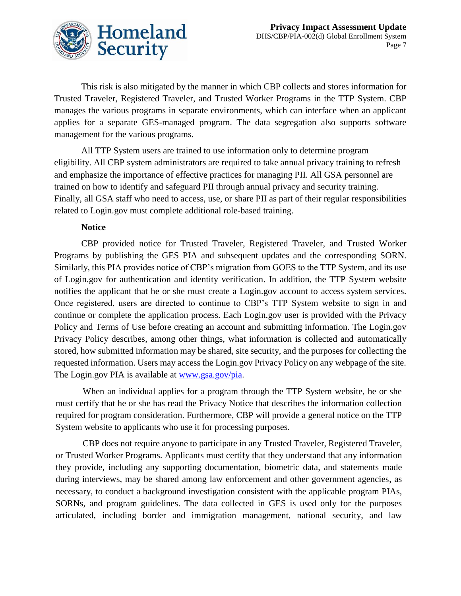

This risk is also mitigated by the manner in which CBP collects and stores information for Trusted Traveler, Registered Traveler, and Trusted Worker Programs in the TTP System. CBP manages the various programs in separate environments, which can interface when an applicant applies for a separate GES-managed program. The data segregation also supports software management for the various programs.

All TTP System users are trained to use information only to determine program eligibility. All CBP system administrators are required to take annual privacy training to refresh and emphasize the importance of effective practices for managing PII. All GSA personnel are trained on how to identify and safeguard PII through annual privacy and security training. Finally, all GSA staff who need to access, use, or share PII as part of their regular responsibilities related to Login.gov must complete additional role-based training.

#### **Notice**

CBP provided notice for Trusted Traveler, Registered Traveler, and Trusted Worker Programs by publishing the GES PIA and subsequent updates and the corresponding SORN. Similarly, this PIA provides notice of CBP's migration from GOES to the TTP System, and its use of Login.gov for authentication and identity verification. In addition, the TTP System website notifies the applicant that he or she must create a Login.gov account to access system services. Once registered, users are directed to continue to CBP's TTP System website to sign in and continue or complete the application process. Each Login.gov user is provided with the Privacy Policy and Terms of Use before creating an account and submitting information. The Login.gov Privacy Policy describes, among other things, what information is collected and automatically stored, how submitted information may be shared, site security, and the purposes for collecting the requested information. Users may access the Login.gov Privacy Policy on any webpage of the site. The Login.gov PIA is available at [www.gsa.gov/pia.](http://www.gsa.gov/pia)

When an individual applies for a program through the TTP System website, he or she must certify that he or she has read the Privacy Notice that describes the information collection required for program consideration. Furthermore, CBP will provide a general notice on the TTP System website to applicants who use it for processing purposes.

CBP does not require anyone to participate in any Trusted Traveler, Registered Traveler, or Trusted Worker Programs. Applicants must certify that they understand that any information they provide, including any supporting documentation, biometric data, and statements made during interviews, may be shared among law enforcement and other government agencies, as necessary, to conduct a background investigation consistent with the applicable program PIAs, SORNs, and program guidelines. The data collected in GES is used only for the purposes articulated, including border and immigration management, national security, and law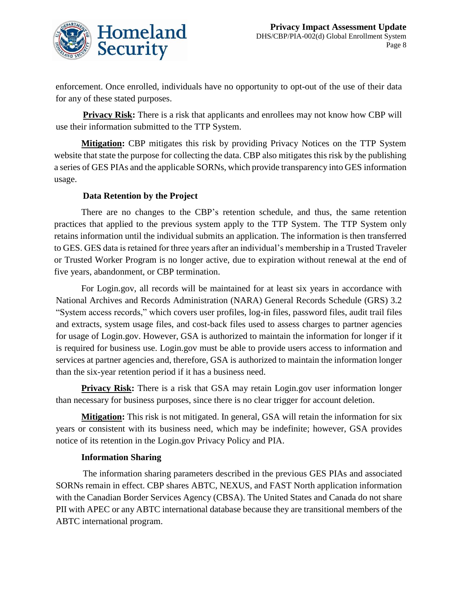

enforcement. Once enrolled, individuals have no opportunity to opt-out of the use of their data for any of these stated purposes.

**Privacy Risk:** There is a risk that applicants and enrollees may not know how CBP will use their information submitted to the TTP System.

**Mitigation:** CBP mitigates this risk by providing Privacy Notices on the TTP System website that state the purpose for collecting the data. CBP also mitigates this risk by the publishing a series of GES PIAs and the applicable SORNs, which provide transparency into GES information usage.

#### **Data Retention by the Project**

There are no changes to the CBP's retention schedule, and thus, the same retention practices that applied to the previous system apply to the TTP System. The TTP System only retains information until the individual submits an application. The information is then transferred to GES. GES data is retained for three years after an individual's membership in a Trusted Traveler or Trusted Worker Program is no longer active, due to expiration without renewal at the end of five years, abandonment, or CBP termination.

For Login.gov, all records will be maintained for at least six years in accordance with National Archives and Records Administration (NARA) General Records Schedule (GRS) 3.2 "System access records," which covers user profiles, log-in files, password files, audit trail files and extracts, system usage files, and cost-back files used to assess charges to partner agencies for usage of Login.gov. However, GSA is authorized to maintain the information for longer if it is required for business use. Login.gov must be able to provide users access to information and services at partner agencies and, therefore, GSA is authorized to maintain the information longer than the six-year retention period if it has a business need.

**Privacy Risk:** There is a risk that GSA may retain Login.gov user information longer than necessary for business purposes, since there is no clear trigger for account deletion.

**Mitigation:** This risk is not mitigated. In general, GSA will retain the information for six years or consistent with its business need, which may be indefinite; however, GSA provides notice of its retention in the Login.gov Privacy Policy and PIA.

#### **Information Sharing**

The information sharing parameters described in the previous GES PIAs and associated SORNs remain in effect. CBP shares ABTC, NEXUS, and FAST North application information with the Canadian Border Services Agency (CBSA). The United States and Canada do not share PII with APEC or any ABTC international database because they are transitional members of the ABTC international program.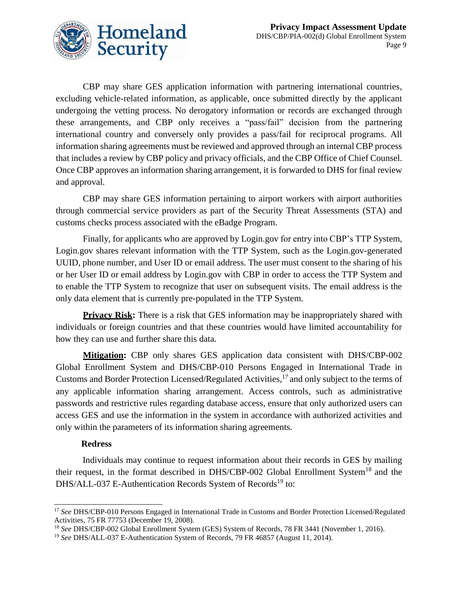

CBP may share GES application information with partnering international countries, excluding vehicle-related information, as applicable, once submitted directly by the applicant undergoing the vetting process. No derogatory information or records are exchanged through these arrangements, and CBP only receives a "pass/fail" decision from the partnering international country and conversely only provides a pass/fail for reciprocal programs. All information sharing agreements must be reviewed and approved through an internal CBP process that includes a review by CBP policy and privacy officials, and the CBP Office of Chief Counsel. Once CBP approves an information sharing arrangement, it is forwarded to DHS for final review and approval.

CBP may share GES information pertaining to airport workers with airport authorities through commercial service providers as part of the Security Threat Assessments (STA) and customs checks process associated with the eBadge Program.

Finally, for applicants who are approved by Login.gov for entry into CBP's TTP System, Login.gov shares relevant information with the TTP System, such as the Login.gov-generated UUID, phone number, and User ID or email address. The user must consent to the sharing of his or her User ID or email address by Login.gov with CBP in order to access the TTP System and to enable the TTP System to recognize that user on subsequent visits. The email address is the only data element that is currently pre-populated in the TTP System.

**Privacy Risk:** There is a risk that GES information may be inappropriately shared with individuals or foreign countries and that these countries would have limited accountability for how they can use and further share this data.

**Mitigation:** CBP only shares GES application data consistent with DHS/CBP-002 Global Enrollment System and DHS/CBP-010 Persons Engaged in International Trade in Customs and Border Protection Licensed/Regulated Activities, <sup>17</sup> and only subject to the terms of any applicable information sharing arrangement. Access controls, such as administrative passwords and restrictive rules regarding database access, ensure that only authorized users can access GES and use the information in the system in accordance with authorized activities and only within the parameters of its information sharing agreements.

#### **Redress**

Individuals may continue to request information about their records in GES by mailing their request, in the format described in DHS/CBP-002 Global Enrollment System<sup>18</sup> and the DHS/ALL-037 E-Authentication Records System of Records<sup>19</sup> to:

 $\overline{a}$ <sup>17</sup> *See* DHS/CBP-010 Persons Engaged in International Trade in Customs and Border Protection Licensed/Regulated Activities, 75 FR 77753 (December 19, 2008).

<sup>18</sup> *See* DHS/CBP-002 Global Enrollment System (GES) System of Records, 78 FR 3441 (November 1, 2016).

<sup>19</sup> *See* DHS/ALL-037 E-Authentication System of Records, 79 FR 46857 (August 11, 2014).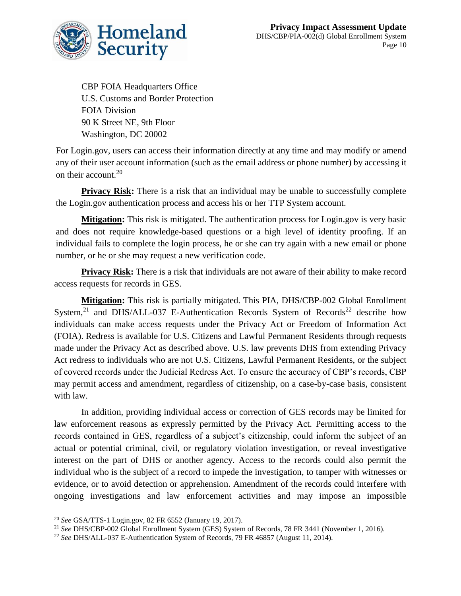

CBP FOIA Headquarters Office U.S. Customs and Border Protection FOIA Division 90 K Street NE, 9th Floor Washington, DC 20002

For Login.gov, users can access their information directly at any time and may modify or amend any of their user account information (such as the email address or phone number) by accessing it on their account.<sup>20</sup>

**Privacy Risk:** There is a risk that an individual may be unable to successfully complete the Login.gov authentication process and access his or her TTP System account.

**Mitigation:** This risk is mitigated. The authentication process for Login.gov is very basic and does not require knowledge-based questions or a high level of identity proofing. If an individual fails to complete the login process, he or she can try again with a new email or phone number, or he or she may request a new verification code.

**Privacy Risk:** There is a risk that individuals are not aware of their ability to make record access requests for records in GES.

**Mitigation:** This risk is partially mitigated. This PIA, DHS/CBP-002 Global Enrollment System,<sup>21</sup> and DHS/ALL-037 E-Authentication Records System of Records<sup>22</sup> describe how individuals can make access requests under the Privacy Act or Freedom of Information Act (FOIA). Redress is available for U.S. Citizens and Lawful Permanent Residents through requests made under the Privacy Act as described above. U.S. law prevents DHS from extending Privacy Act redress to individuals who are not U.S. Citizens, Lawful Permanent Residents, or the subject of covered records under the Judicial Redress Act. To ensure the accuracy of CBP's records, CBP may permit access and amendment, regardless of citizenship, on a case-by-case basis, consistent with law.

In addition, providing individual access or correction of GES records may be limited for law enforcement reasons as expressly permitted by the Privacy Act. Permitting access to the records contained in GES, regardless of a subject's citizenship, could inform the subject of an actual or potential criminal, civil, or regulatory violation investigation, or reveal investigative interest on the part of DHS or another agency. Access to the records could also permit the individual who is the subject of a record to impede the investigation, to tamper with witnesses or evidence, or to avoid detection or apprehension. Amendment of the records could interfere with ongoing investigations and law enforcement activities and may impose an impossible

 $\overline{a}$ <sup>20</sup> *See* GSA/TTS-1 Login.gov, 82 FR 6552 (January 19, 2017).

<sup>21</sup> *See* DHS/CBP-002 Global Enrollment System (GES) System of Records, 78 FR 3441 (November 1, 2016).

<sup>22</sup> *See* DHS/ALL-037 E-Authentication System of Records, 79 FR 46857 (August 11, 2014).